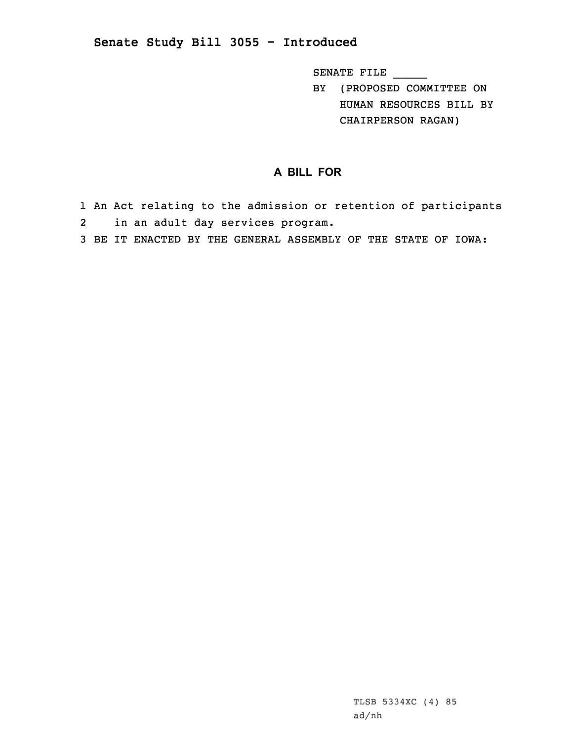## **Senate Study Bill 3055 - Introduced**

SENATE FILE \_\_\_\_\_

BY (PROPOSED COMMITTEE ON HUMAN RESOURCES BILL BY CHAIRPERSON RAGAN)

## **A BILL FOR**

- 1 An Act relating to the admission or retention of participants 2in an adult day services program.
- 3 BE IT ENACTED BY THE GENERAL ASSEMBLY OF THE STATE OF IOWA: